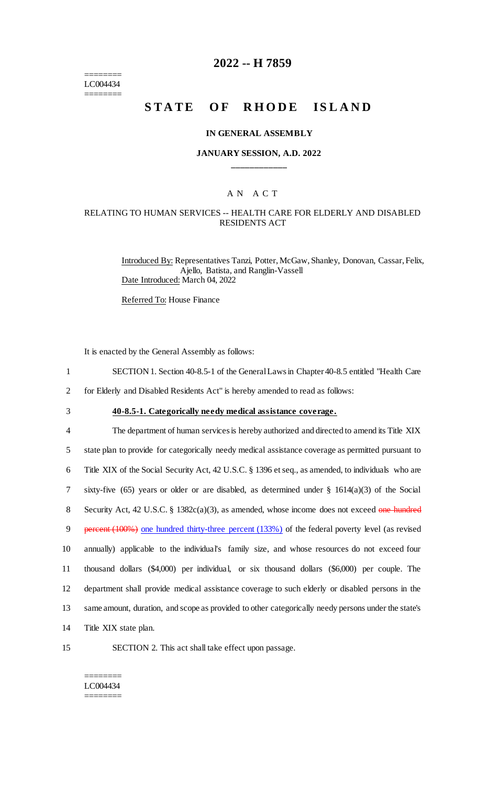======== LC004434 ========

# **2022 -- H 7859**

# **STATE OF RHODE ISLAND**

#### **IN GENERAL ASSEMBLY**

### **JANUARY SESSION, A.D. 2022 \_\_\_\_\_\_\_\_\_\_\_\_**

# A N A C T

### RELATING TO HUMAN SERVICES -- HEALTH CARE FOR ELDERLY AND DISABLED RESIDENTS ACT

Introduced By: Representatives Tanzi, Potter, McGaw, Shanley, Donovan, Cassar, Felix, Ajello, Batista, and Ranglin-Vassell Date Introduced: March 04, 2022

Referred To: House Finance

It is enacted by the General Assembly as follows:

- 1 SECTION 1. Section 40-8.5-1 of the General Laws in Chapter 40-8.5 entitled "Health Care
- 2 for Elderly and Disabled Residents Act" is hereby amended to read as follows:
- 

3 **40-8.5-1. Categorically needy medical assistance coverage.**

 The department of human services is hereby authorized and directed to amend its Title XIX state plan to provide for categorically needy medical assistance coverage as permitted pursuant to Title XIX of the Social Security Act, 42 U.S.C. § 1396 et seq., as amended, to individuals who are sixty-five (65) years or older or are disabled, as determined under § 1614(a)(3) of the Social 8 Security Act, 42 U.S.C. § 1382c(a)(3), as amended, whose income does not exceed one hundred 9 percent (100%) one hundred thirty-three percent (133%) of the federal poverty level (as revised annually) applicable to the individual's family size, and whose resources do not exceed four thousand dollars (\$4,000) per individual, or six thousand dollars (\$6,000) per couple. The department shall provide medical assistance coverage to such elderly or disabled persons in the same amount, duration, and scope as provided to other categorically needy persons under the state's Title XIX state plan.

- 
- 15 SECTION 2. This act shall take effect upon passage.

#### ======== LC004434 ========